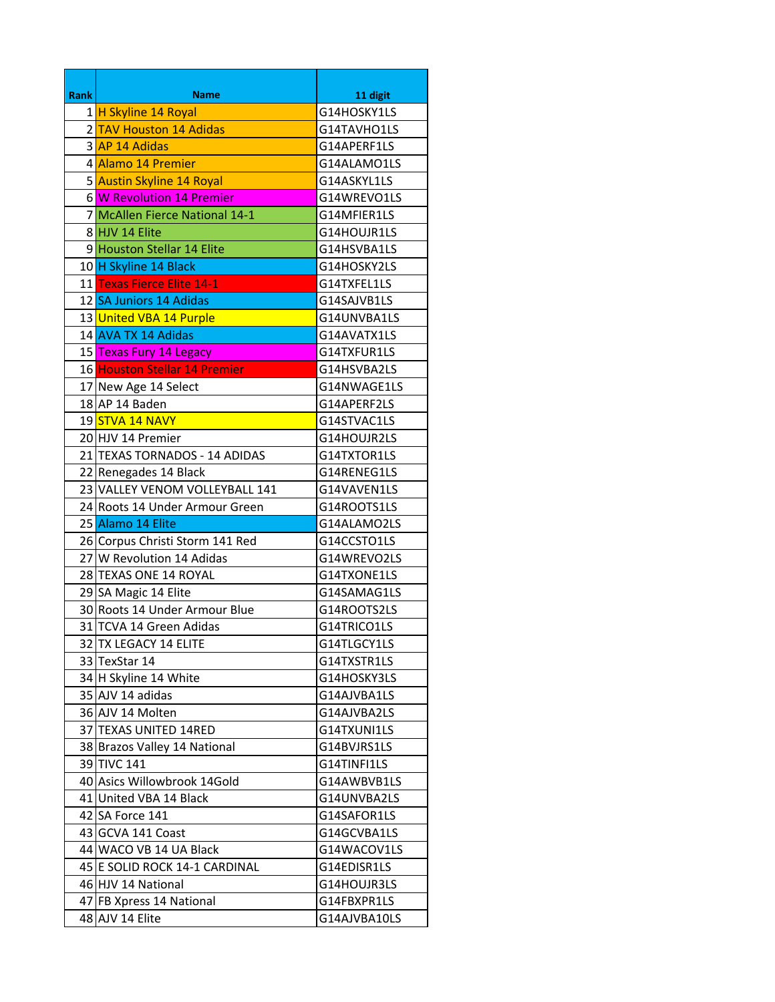| <b>Rank</b> | <b>Name</b>                     | 11 digit     |
|-------------|---------------------------------|--------------|
|             | 1 H Skyline 14 Royal            | G14HOSKY1LS  |
|             | 2 TAV Houston 14 Adidas         | G14TAVHO1LS  |
|             | 3 AP 14 Adidas                  | G14APERF1LS  |
|             | 4 Alamo 14 Premier              | G14ALAMO1LS  |
|             | 5 Austin Skyline 14 Royal       | G14ASKYL1LS  |
|             | 6 W Revolution 14 Premier       | G14WREVO1LS  |
|             | 7 McAllen Fierce National 14-1  | G14MFIER1LS  |
|             | 8 HJV 14 Elite                  | G14HOUJR1LS  |
|             | 9 Houston Stellar 14 Elite      | G14HSVBA1LS  |
|             | 10 H Skyline 14 Black           | G14HOSKY2LS  |
|             | 11 Texas Fierce Elite 14-1      | G14TXFEL1LS  |
|             | 12 SA Juniors 14 Adidas         | G14SAJVB1LS  |
|             | 13 United VBA 14 Purple         | G14UNVBA1LS  |
|             | 14 AVA TX 14 Adidas             | G14AVATX1LS  |
|             | 15 Texas Fury 14 Legacy         | G14TXFUR1LS  |
|             | 16 Houston Stellar 14 Premier   | G14HSVBA2LS  |
|             | 17 New Age 14 Select            | G14NWAGE1LS  |
|             | 18 AP 14 Baden                  | G14APERF2LS  |
|             | 19 <mark>STVA 14 NAVY</mark>    | G14STVAC1LS  |
|             | 20 HJV 14 Premier               | G14HOUJR2LS  |
|             | 21 TEXAS TORNADOS - 14 ADIDAS   | G14TXTOR1LS  |
|             | 22 Renegades 14 Black           | G14RENEG1LS  |
|             | 23 VALLEY VENOM VOLLEYBALL 141  | G14VAVEN1LS  |
|             | 24 Roots 14 Under Armour Green  | G14ROOTS1LS  |
|             | 25 Alamo 14 Elite               | G14ALAMO2LS  |
|             | 26 Corpus Christi Storm 141 Red | G14CCSTO1LS  |
|             | 27 W Revolution 14 Adidas       | G14WREVO2LS  |
|             | 28 TEXAS ONE 14 ROYAL           | G14TXONE1LS  |
|             | 29 SA Magic 14 Elite            | G14SAMAG1LS  |
|             | 30 Roots 14 Under Armour Blue   | G14ROOTS2LS  |
|             | 31 TCVA 14 Green Adidas         | G14TRICO1LS  |
|             | 32 TX LEGACY 14 ELITE           | G14TLGCY1LS  |
|             | 33 TexStar 14                   | G14TXSTR1LS  |
|             | 34 H Skyline 14 White           | G14HOSKY3LS  |
|             | 35 AJV 14 adidas                | G14AJVBA1LS  |
|             | 36 AJV 14 Molten                | G14AJVBA2LS  |
|             | 37 TEXAS UNITED 14RED           | G14TXUNI1LS  |
|             | 38 Brazos Valley 14 National    | G14BVJRS1LS  |
|             | 39 TIVC 141                     | G14TINFI1LS  |
|             | 40 Asics Willowbrook 14Gold     | G14AWBVB1LS  |
|             | 41 United VBA 14 Black          | G14UNVBA2LS  |
|             | 42 SA Force 141                 | G14SAFOR1LS  |
|             | 43 GCVA 141 Coast               | G14GCVBA1LS  |
|             | 44 WACO VB 14 UA Black          | G14WACOV1LS  |
|             | 45 E SOLID ROCK 14-1 CARDINAL   | G14EDISR1LS  |
|             | 46 HJV 14 National              | G14HOUJR3LS  |
|             | 47 FB Xpress 14 National        | G14FBXPR1LS  |
|             | 48 AJV 14 Elite                 | G14AJVBA10LS |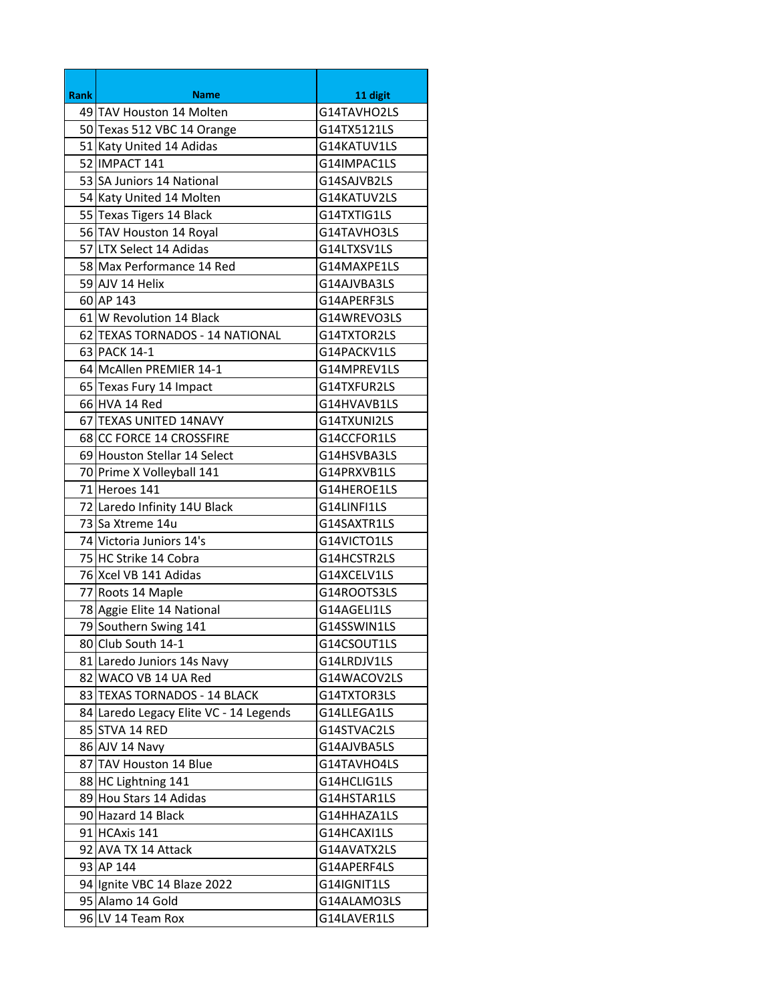| <b>Rank</b><br><b>Name</b><br>11 digit<br>49 TAV Houston 14 Molten<br>G14TAVHO2LS<br>50 Texas 512 VBC 14 Orange<br>G14TX5121LS<br>51 Katy United 14 Adidas<br>G14KATUV1LS<br>52 IMPACT 141<br>G14IMPAC1LS<br>53 SA Juniors 14 National<br>G14SAJVB2LS<br>54 Katy United 14 Molten<br>G14KATUV2LS<br>55 Texas Tigers 14 Black<br>G14TXTIG1LS<br>56 TAV Houston 14 Royal<br>G14TAVHO3LS<br>57 LTX Select 14 Adidas<br>G14LTXSV1LS<br>58 Max Performance 14 Red<br>G14MAXPE1LS<br>59 AJV 14 Helix<br>G14AJVBA3LS<br>60 AP 143<br>G14APERF3LS<br>61 W Revolution 14 Black<br>G14WREVO3LS<br>62 TEXAS TORNADOS - 14 NATIONAL<br>G14TXTOR2LS<br>63 PACK 14-1<br>G14PACKV1LS<br>64 McAllen PREMIER 14-1<br>G14MPREV1LS<br>65 Texas Fury 14 Impact<br>G14TXFUR2LS<br>66 HVA 14 Red<br>G14HVAVB1LS<br>67 TEXAS UNITED 14NAVY<br>G14TXUNI2LS<br>68 CC FORCE 14 CROSSFIRE<br>G14CCFOR1LS<br>69 Houston Stellar 14 Select<br>G14HSVBA3LS<br>70 Prime X Volleyball 141<br>G14PRXVB1LS<br>71 Heroes 141<br>G14HEROE1LS<br>72 Laredo Infinity 14U Black<br>G14LINFI1LS<br>73 Sa Xtreme 14u<br>G14SAXTR1LS<br>74 Victoria Juniors 14's<br>G14VICTO1LS<br>75 HC Strike 14 Cobra<br>G14HCSTR2LS<br>76 Xcel VB 141 Adidas<br>G14XCELV1LS<br>77 Roots 14 Maple<br>G14ROOTS3LS |
|-----------------------------------------------------------------------------------------------------------------------------------------------------------------------------------------------------------------------------------------------------------------------------------------------------------------------------------------------------------------------------------------------------------------------------------------------------------------------------------------------------------------------------------------------------------------------------------------------------------------------------------------------------------------------------------------------------------------------------------------------------------------------------------------------------------------------------------------------------------------------------------------------------------------------------------------------------------------------------------------------------------------------------------------------------------------------------------------------------------------------------------------------------------------------------------------------------------------------------------------------------------|
|                                                                                                                                                                                                                                                                                                                                                                                                                                                                                                                                                                                                                                                                                                                                                                                                                                                                                                                                                                                                                                                                                                                                                                                                                                                           |
|                                                                                                                                                                                                                                                                                                                                                                                                                                                                                                                                                                                                                                                                                                                                                                                                                                                                                                                                                                                                                                                                                                                                                                                                                                                           |
|                                                                                                                                                                                                                                                                                                                                                                                                                                                                                                                                                                                                                                                                                                                                                                                                                                                                                                                                                                                                                                                                                                                                                                                                                                                           |
|                                                                                                                                                                                                                                                                                                                                                                                                                                                                                                                                                                                                                                                                                                                                                                                                                                                                                                                                                                                                                                                                                                                                                                                                                                                           |
|                                                                                                                                                                                                                                                                                                                                                                                                                                                                                                                                                                                                                                                                                                                                                                                                                                                                                                                                                                                                                                                                                                                                                                                                                                                           |
|                                                                                                                                                                                                                                                                                                                                                                                                                                                                                                                                                                                                                                                                                                                                                                                                                                                                                                                                                                                                                                                                                                                                                                                                                                                           |
|                                                                                                                                                                                                                                                                                                                                                                                                                                                                                                                                                                                                                                                                                                                                                                                                                                                                                                                                                                                                                                                                                                                                                                                                                                                           |
|                                                                                                                                                                                                                                                                                                                                                                                                                                                                                                                                                                                                                                                                                                                                                                                                                                                                                                                                                                                                                                                                                                                                                                                                                                                           |
|                                                                                                                                                                                                                                                                                                                                                                                                                                                                                                                                                                                                                                                                                                                                                                                                                                                                                                                                                                                                                                                                                                                                                                                                                                                           |
|                                                                                                                                                                                                                                                                                                                                                                                                                                                                                                                                                                                                                                                                                                                                                                                                                                                                                                                                                                                                                                                                                                                                                                                                                                                           |
|                                                                                                                                                                                                                                                                                                                                                                                                                                                                                                                                                                                                                                                                                                                                                                                                                                                                                                                                                                                                                                                                                                                                                                                                                                                           |
|                                                                                                                                                                                                                                                                                                                                                                                                                                                                                                                                                                                                                                                                                                                                                                                                                                                                                                                                                                                                                                                                                                                                                                                                                                                           |
|                                                                                                                                                                                                                                                                                                                                                                                                                                                                                                                                                                                                                                                                                                                                                                                                                                                                                                                                                                                                                                                                                                                                                                                                                                                           |
|                                                                                                                                                                                                                                                                                                                                                                                                                                                                                                                                                                                                                                                                                                                                                                                                                                                                                                                                                                                                                                                                                                                                                                                                                                                           |
|                                                                                                                                                                                                                                                                                                                                                                                                                                                                                                                                                                                                                                                                                                                                                                                                                                                                                                                                                                                                                                                                                                                                                                                                                                                           |
|                                                                                                                                                                                                                                                                                                                                                                                                                                                                                                                                                                                                                                                                                                                                                                                                                                                                                                                                                                                                                                                                                                                                                                                                                                                           |
|                                                                                                                                                                                                                                                                                                                                                                                                                                                                                                                                                                                                                                                                                                                                                                                                                                                                                                                                                                                                                                                                                                                                                                                                                                                           |
|                                                                                                                                                                                                                                                                                                                                                                                                                                                                                                                                                                                                                                                                                                                                                                                                                                                                                                                                                                                                                                                                                                                                                                                                                                                           |
|                                                                                                                                                                                                                                                                                                                                                                                                                                                                                                                                                                                                                                                                                                                                                                                                                                                                                                                                                                                                                                                                                                                                                                                                                                                           |
|                                                                                                                                                                                                                                                                                                                                                                                                                                                                                                                                                                                                                                                                                                                                                                                                                                                                                                                                                                                                                                                                                                                                                                                                                                                           |
|                                                                                                                                                                                                                                                                                                                                                                                                                                                                                                                                                                                                                                                                                                                                                                                                                                                                                                                                                                                                                                                                                                                                                                                                                                                           |
|                                                                                                                                                                                                                                                                                                                                                                                                                                                                                                                                                                                                                                                                                                                                                                                                                                                                                                                                                                                                                                                                                                                                                                                                                                                           |
|                                                                                                                                                                                                                                                                                                                                                                                                                                                                                                                                                                                                                                                                                                                                                                                                                                                                                                                                                                                                                                                                                                                                                                                                                                                           |
|                                                                                                                                                                                                                                                                                                                                                                                                                                                                                                                                                                                                                                                                                                                                                                                                                                                                                                                                                                                                                                                                                                                                                                                                                                                           |
|                                                                                                                                                                                                                                                                                                                                                                                                                                                                                                                                                                                                                                                                                                                                                                                                                                                                                                                                                                                                                                                                                                                                                                                                                                                           |
|                                                                                                                                                                                                                                                                                                                                                                                                                                                                                                                                                                                                                                                                                                                                                                                                                                                                                                                                                                                                                                                                                                                                                                                                                                                           |
|                                                                                                                                                                                                                                                                                                                                                                                                                                                                                                                                                                                                                                                                                                                                                                                                                                                                                                                                                                                                                                                                                                                                                                                                                                                           |
|                                                                                                                                                                                                                                                                                                                                                                                                                                                                                                                                                                                                                                                                                                                                                                                                                                                                                                                                                                                                                                                                                                                                                                                                                                                           |
|                                                                                                                                                                                                                                                                                                                                                                                                                                                                                                                                                                                                                                                                                                                                                                                                                                                                                                                                                                                                                                                                                                                                                                                                                                                           |
|                                                                                                                                                                                                                                                                                                                                                                                                                                                                                                                                                                                                                                                                                                                                                                                                                                                                                                                                                                                                                                                                                                                                                                                                                                                           |
| 78 Aggie Elite 14 National<br>G14AGELI1LS                                                                                                                                                                                                                                                                                                                                                                                                                                                                                                                                                                                                                                                                                                                                                                                                                                                                                                                                                                                                                                                                                                                                                                                                                 |
| 79 Southern Swing 141<br>G14SSWIN1LS                                                                                                                                                                                                                                                                                                                                                                                                                                                                                                                                                                                                                                                                                                                                                                                                                                                                                                                                                                                                                                                                                                                                                                                                                      |
| 80 Club South 14-1<br>G14CSOUT1LS                                                                                                                                                                                                                                                                                                                                                                                                                                                                                                                                                                                                                                                                                                                                                                                                                                                                                                                                                                                                                                                                                                                                                                                                                         |
| 81 Laredo Juniors 14s Navy<br>G14LRDJV1LS                                                                                                                                                                                                                                                                                                                                                                                                                                                                                                                                                                                                                                                                                                                                                                                                                                                                                                                                                                                                                                                                                                                                                                                                                 |
| 82 WACO VB 14 UA Red<br>G14WACOV2LS                                                                                                                                                                                                                                                                                                                                                                                                                                                                                                                                                                                                                                                                                                                                                                                                                                                                                                                                                                                                                                                                                                                                                                                                                       |
| 83 TEXAS TORNADOS - 14 BLACK<br>G14TXTOR3LS                                                                                                                                                                                                                                                                                                                                                                                                                                                                                                                                                                                                                                                                                                                                                                                                                                                                                                                                                                                                                                                                                                                                                                                                               |
| 84 Laredo Legacy Elite VC - 14 Legends<br>G14LLEGA1LS                                                                                                                                                                                                                                                                                                                                                                                                                                                                                                                                                                                                                                                                                                                                                                                                                                                                                                                                                                                                                                                                                                                                                                                                     |
| 85 STVA 14 RED<br>G14STVAC2LS                                                                                                                                                                                                                                                                                                                                                                                                                                                                                                                                                                                                                                                                                                                                                                                                                                                                                                                                                                                                                                                                                                                                                                                                                             |
| 86 AJV 14 Navy<br>G14AJVBA5LS                                                                                                                                                                                                                                                                                                                                                                                                                                                                                                                                                                                                                                                                                                                                                                                                                                                                                                                                                                                                                                                                                                                                                                                                                             |
| 87 TAV Houston 14 Blue<br>G14TAVHO4LS                                                                                                                                                                                                                                                                                                                                                                                                                                                                                                                                                                                                                                                                                                                                                                                                                                                                                                                                                                                                                                                                                                                                                                                                                     |
| 88 HC Lightning 141<br>G14HCLIG1LS                                                                                                                                                                                                                                                                                                                                                                                                                                                                                                                                                                                                                                                                                                                                                                                                                                                                                                                                                                                                                                                                                                                                                                                                                        |
| 89 Hou Stars 14 Adidas<br>G14HSTAR1LS                                                                                                                                                                                                                                                                                                                                                                                                                                                                                                                                                                                                                                                                                                                                                                                                                                                                                                                                                                                                                                                                                                                                                                                                                     |
| 90 Hazard 14 Black<br>G14HHAZA1LS                                                                                                                                                                                                                                                                                                                                                                                                                                                                                                                                                                                                                                                                                                                                                                                                                                                                                                                                                                                                                                                                                                                                                                                                                         |
| 91 HCAxis 141<br>G14HCAXI1LS                                                                                                                                                                                                                                                                                                                                                                                                                                                                                                                                                                                                                                                                                                                                                                                                                                                                                                                                                                                                                                                                                                                                                                                                                              |
| 92 AVA TX 14 Attack<br>G14AVATX2LS                                                                                                                                                                                                                                                                                                                                                                                                                                                                                                                                                                                                                                                                                                                                                                                                                                                                                                                                                                                                                                                                                                                                                                                                                        |
| 93 AP 144<br>G14APERF4LS                                                                                                                                                                                                                                                                                                                                                                                                                                                                                                                                                                                                                                                                                                                                                                                                                                                                                                                                                                                                                                                                                                                                                                                                                                  |
| 94 Ignite VBC 14 Blaze 2022<br>G14IGNIT1LS                                                                                                                                                                                                                                                                                                                                                                                                                                                                                                                                                                                                                                                                                                                                                                                                                                                                                                                                                                                                                                                                                                                                                                                                                |
| 95 Alamo 14 Gold<br>G14ALAMO3LS                                                                                                                                                                                                                                                                                                                                                                                                                                                                                                                                                                                                                                                                                                                                                                                                                                                                                                                                                                                                                                                                                                                                                                                                                           |
| 96 LV 14 Team Rox<br>G14LAVER1LS                                                                                                                                                                                                                                                                                                                                                                                                                                                                                                                                                                                                                                                                                                                                                                                                                                                                                                                                                                                                                                                                                                                                                                                                                          |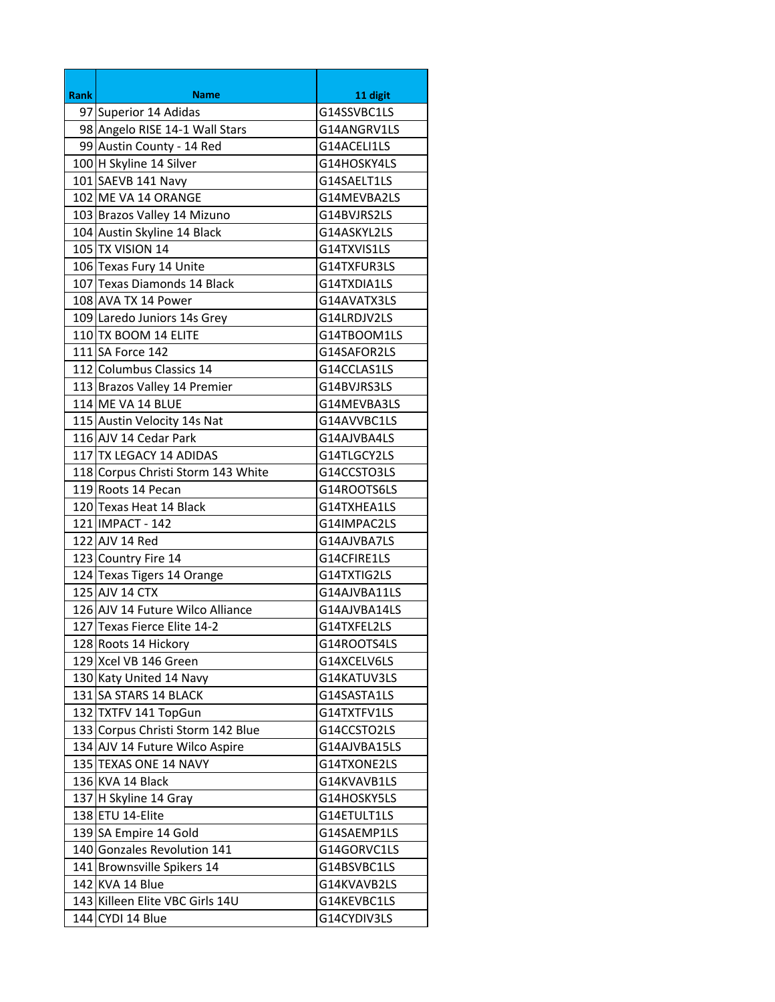| <b>Rank</b> | <b>Name</b>                        |                            |
|-------------|------------------------------------|----------------------------|
|             | 97 Superior 14 Adidas              | 11 digit<br>G14SSVBC1LS    |
|             | 98 Angelo RISE 14-1 Wall Stars     |                            |
|             |                                    | G14ANGRV1LS<br>G14ACELI1LS |
|             | 99 Austin County - 14 Red          |                            |
|             | 100 H Skyline 14 Silver            | G14HOSKY4LS                |
|             | 101 SAEVB 141 Navy                 | G14SAELT1LS                |
|             | 102 ME VA 14 ORANGE                | G14MEVBA2LS                |
|             | 103 Brazos Valley 14 Mizuno        | G14BVJRS2LS                |
|             | 104 Austin Skyline 14 Black        | G14ASKYL2LS                |
|             | 105 TX VISION 14                   | G14TXVIS1LS                |
|             | 106 Texas Fury 14 Unite            | G14TXFUR3LS                |
|             | 107 Texas Diamonds 14 Black        | G14TXDIA1LS                |
|             | 108 AVA TX 14 Power                | G14AVATX3LS                |
|             | 109 Laredo Juniors 14s Grey        | G14LRDJV2LS                |
|             | 110 TX BOOM 14 ELITE               | G14TBOOM1LS                |
|             | 111 SA Force 142                   | G14SAFOR2LS                |
|             | 112 Columbus Classics 14           | G14CCLAS1LS                |
|             | 113 Brazos Valley 14 Premier       | G14BVJRS3LS                |
|             | 114 ME VA 14 BLUE                  | G14MEVBA3LS                |
|             | 115 Austin Velocity 14s Nat        | G14AVVBC1LS                |
|             | 116 AJV 14 Cedar Park              | G14AJVBA4LS                |
|             | 117 TX LEGACY 14 ADIDAS            | G14TLGCY2LS                |
|             | 118 Corpus Christi Storm 143 White | G14CCSTO3LS                |
|             | 119 Roots 14 Pecan                 | G14ROOTS6LS                |
|             | 120 Texas Heat 14 Black            | G14TXHEA1LS                |
|             | 121 IMPACT - 142                   | G14IMPAC2LS                |
|             | 122 AJV 14 Red                     | G14AJVBA7LS                |
|             | 123 Country Fire 14                | G14CFIRE1LS                |
|             | 124 Texas Tigers 14 Orange         | G14TXTIG2LS                |
|             | 125 AJV 14 CTX                     | G14AJVBA11LS               |
|             | 126 AJV 14 Future Wilco Alliance   | G14AJVBA14LS               |
|             | 127 Texas Fierce Elite 14-2        | G14TXFEL2LS                |
|             | 128 Roots 14 Hickory               | G14ROOTS4LS                |
|             | 129 Xcel VB 146 Green              | G14XCELV6LS                |
|             | 130 Katy United 14 Navy            | G14KATUV3LS                |
|             | 131 SA STARS 14 BLACK              | G14SASTA1LS                |
|             | 132 TXTFV 141 TopGun               | G14TXTFV1LS                |
|             | 133 Corpus Christi Storm 142 Blue  | G14CCSTO2LS                |
|             | 134 AJV 14 Future Wilco Aspire     | G14AJVBA15LS               |
|             | 135 TEXAS ONE 14 NAVY              | G14TXONE2LS                |
|             | 136 KVA 14 Black                   | G14KVAVB1LS                |
|             | 137 H Skyline 14 Gray              | G14HOSKY5LS                |
|             | 138 ETU 14-Elite                   | G14ETULT1LS                |
|             | 139 SA Empire 14 Gold              | G14SAEMP1LS                |
|             | 140 Gonzales Revolution 141        | G14GORVC1LS                |
|             | 141 Brownsville Spikers 14         | G14BSVBC1LS                |
|             | 142 KVA 14 Blue                    | G14KVAVB2LS                |
|             | 143 Killeen Elite VBC Girls 14U    | G14KEVBC1LS                |
|             | 144 CYDI 14 Blue                   | G14CYDIV3LS                |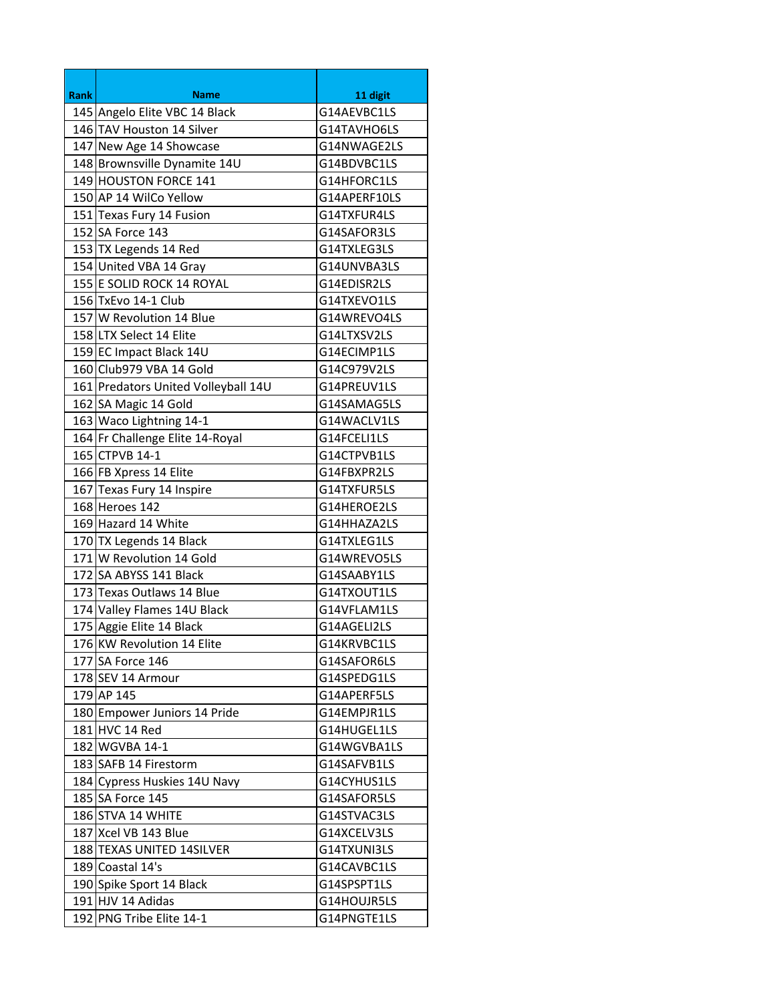| <b>Rank</b> | <b>Name</b>                         | 11 digit     |
|-------------|-------------------------------------|--------------|
|             | 145 Angelo Elite VBC 14 Black       | G14AEVBC1LS  |
|             | 146 TAV Houston 14 Silver           | G14TAVHO6LS  |
|             | 147 New Age 14 Showcase             | G14NWAGE2LS  |
|             | 148 Brownsville Dynamite 14U        | G14BDVBC1LS  |
|             | 149 HOUSTON FORCE 141               | G14HFORC1LS  |
|             | 150 AP 14 WilCo Yellow              | G14APERF10LS |
|             | 151 Texas Fury 14 Fusion            | G14TXFUR4LS  |
|             | 152 SA Force 143                    | G14SAFOR3LS  |
|             | 153 TX Legends 14 Red               | G14TXLEG3LS  |
|             | 154 United VBA 14 Gray              | G14UNVBA3LS  |
|             | 155 E SOLID ROCK 14 ROYAL           | G14EDISR2LS  |
|             | 156 TxEvo 14-1 Club                 | G14TXEVO1LS  |
|             | 157 W Revolution 14 Blue            | G14WREVO4LS  |
|             | 158 LTX Select 14 Elite             | G14LTXSV2LS  |
|             | 159 EC Impact Black 14U             | G14ECIMP1LS  |
|             | 160 Club979 VBA 14 Gold             | G14C979V2LS  |
|             | 161 Predators United Volleyball 14U | G14PREUV1LS  |
|             | 162 SA Magic 14 Gold                | G14SAMAG5LS  |
|             | 163 Waco Lightning 14-1             | G14WACLV1LS  |
|             | 164 Fr Challenge Elite 14-Royal     | G14FCELI1LS  |
|             | 165 CTPVB 14-1                      | G14CTPVB1LS  |
|             | 166 FB Xpress 14 Elite              | G14FBXPR2LS  |
|             | 167 Texas Fury 14 Inspire           | G14TXFUR5LS  |
|             | 168 Heroes 142                      | G14HEROE2LS  |
|             | 169 Hazard 14 White                 | G14HHAZA2LS  |
|             | 170 TX Legends 14 Black             | G14TXLEG1LS  |
|             | 171 W Revolution 14 Gold            | G14WREVO5LS  |
|             | 172 SA ABYSS 141 Black              | G14SAABY1LS  |
|             | 173 Texas Outlaws 14 Blue           | G14TXOUT1LS  |
|             | 174 Valley Flames 14U Black         | G14VFLAM1LS  |
|             | 175 Aggie Elite 14 Black            | G14AGELI2LS  |
|             | 176 KW Revolution 14 Elite          | G14KRVBC1LS  |
|             | 177 SA Force 146                    | G14SAFOR6LS  |
|             | 178 SEV 14 Armour                   | G14SPEDG1LS  |
|             | 179 AP 145                          | G14APERF5LS  |
|             | 180 Empower Juniors 14 Pride        | G14EMPJR1LS  |
|             | 181 HVC 14 Red                      | G14HUGEL1LS  |
|             | 182 WGVBA 14-1                      | G14WGVBA1LS  |
|             | 183 SAFB 14 Firestorm               | G14SAFVB1LS  |
|             | 184 Cypress Huskies 14U Navy        | G14CYHUS1LS  |
|             | 185 SA Force 145                    | G14SAFOR5LS  |
|             | 186 STVA 14 WHITE                   | G14STVAC3LS  |
|             | 187 Xcel VB 143 Blue                | G14XCELV3LS  |
|             | 188 TEXAS UNITED 14SILVER           | G14TXUNI3LS  |
|             | 189 Coastal 14's                    | G14CAVBC1LS  |
|             | 190 Spike Sport 14 Black            | G14SPSPT1LS  |
|             | 191 HJV 14 Adidas                   | G14HOUJR5LS  |
|             | 192 PNG Tribe Elite 14-1            | G14PNGTE1LS  |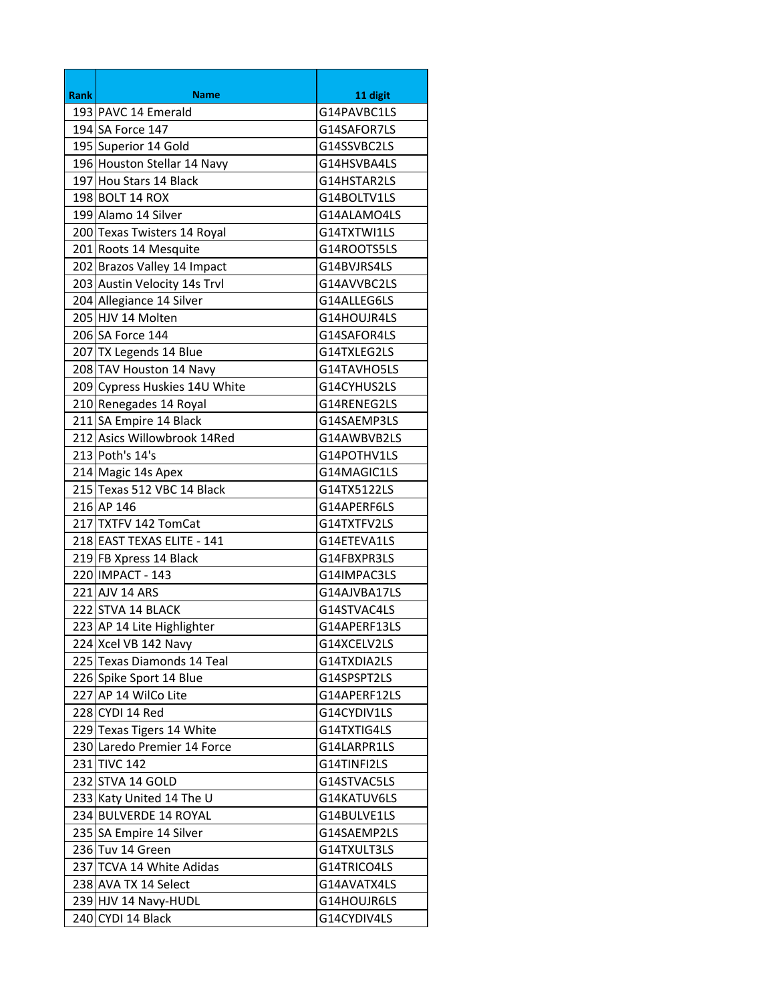| <b>Rank</b> | <b>Name</b>                   | 11 digit     |
|-------------|-------------------------------|--------------|
|             | 193 PAVC 14 Emerald           | G14PAVBC1LS  |
|             | 194 SA Force 147              | G14SAFOR7LS  |
|             | 195 Superior 14 Gold          | G14SSVBC2LS  |
|             | 196 Houston Stellar 14 Navy   | G14HSVBA4LS  |
|             | 197 Hou Stars 14 Black        | G14HSTAR2LS  |
|             | 198 BOLT 14 ROX               | G14BOLTV1LS  |
|             | 199 Alamo 14 Silver           | G14ALAMO4LS  |
|             | 200 Texas Twisters 14 Royal   | G14TXTWI1LS  |
|             | 201 Roots 14 Mesquite         | G14ROOTS5LS  |
|             | 202 Brazos Valley 14 Impact   | G14BVJRS4LS  |
|             | 203 Austin Velocity 14s Trvl  | G14AVVBC2LS  |
|             | 204 Allegiance 14 Silver      | G14ALLEG6LS  |
|             | 205 HJV 14 Molten             | G14HOUJR4LS  |
|             | 206 SA Force 144              | G14SAFOR4LS  |
|             | 207 TX Legends 14 Blue        | G14TXLEG2LS  |
|             | 208 TAV Houston 14 Navy       | G14TAVHO5LS  |
|             | 209 Cypress Huskies 14U White | G14CYHUS2LS  |
|             | 210 Renegades 14 Royal        | G14RENEG2LS  |
|             | 211 SA Empire 14 Black        | G14SAEMP3LS  |
|             | 212 Asics Willowbrook 14Red   | G14AWBVB2LS  |
|             | 213 Poth's 14's               | G14POTHV1LS  |
|             | 214 Magic 14s Apex            | G14MAGIC1LS  |
|             | 215 Texas 512 VBC 14 Black    | G14TX5122LS  |
|             | 216 AP 146                    | G14APERF6LS  |
|             | 217 TXTFV 142 TomCat          | G14TXTFV2LS  |
|             | 218 EAST TEXAS ELITE - 141    | G14ETEVA1LS  |
|             | 219 FB Xpress 14 Black        | G14FBXPR3LS  |
|             | 220 IMPACT - 143              | G14IMPAC3LS  |
|             | 221 AJV 14 ARS                | G14AJVBA17LS |
|             | 222 STVA 14 BLACK             | G14STVAC4LS  |
|             | 223 AP 14 Lite Highlighter    | G14APERF13LS |
|             | 224 Xcel VB 142 Navy          | G14XCELV2LS  |
|             | 225 Texas Diamonds 14 Teal    | G14TXDIA2LS  |
|             | 226 Spike Sport 14 Blue       | G14SPSPT2LS  |
|             | 227 AP 14 WilCo Lite          | G14APERF12LS |
|             | 228 CYDI 14 Red               | G14CYDIV1LS  |
|             | 229 Texas Tigers 14 White     | G14TXTIG4LS  |
|             | 230 Laredo Premier 14 Force   | G14LARPR1LS  |
|             | 231 TIVC 142                  | G14TINFI2LS  |
|             | 232 STVA 14 GOLD              | G14STVAC5LS  |
|             | 233 Katy United 14 The U      | G14KATUV6LS  |
|             | 234 BULVERDE 14 ROYAL         | G14BULVE1LS  |
|             | 235 SA Empire 14 Silver       | G14SAEMP2LS  |
|             | 236 Tuv 14 Green              | G14TXULT3LS  |
|             | 237 TCVA 14 White Adidas      | G14TRICO4LS  |
|             | 238 AVA TX 14 Select          | G14AVATX4LS  |
|             | 239 HJV 14 Navy-HUDL          | G14HOUJR6LS  |
|             | 240 CYDI 14 Black             | G14CYDIV4LS  |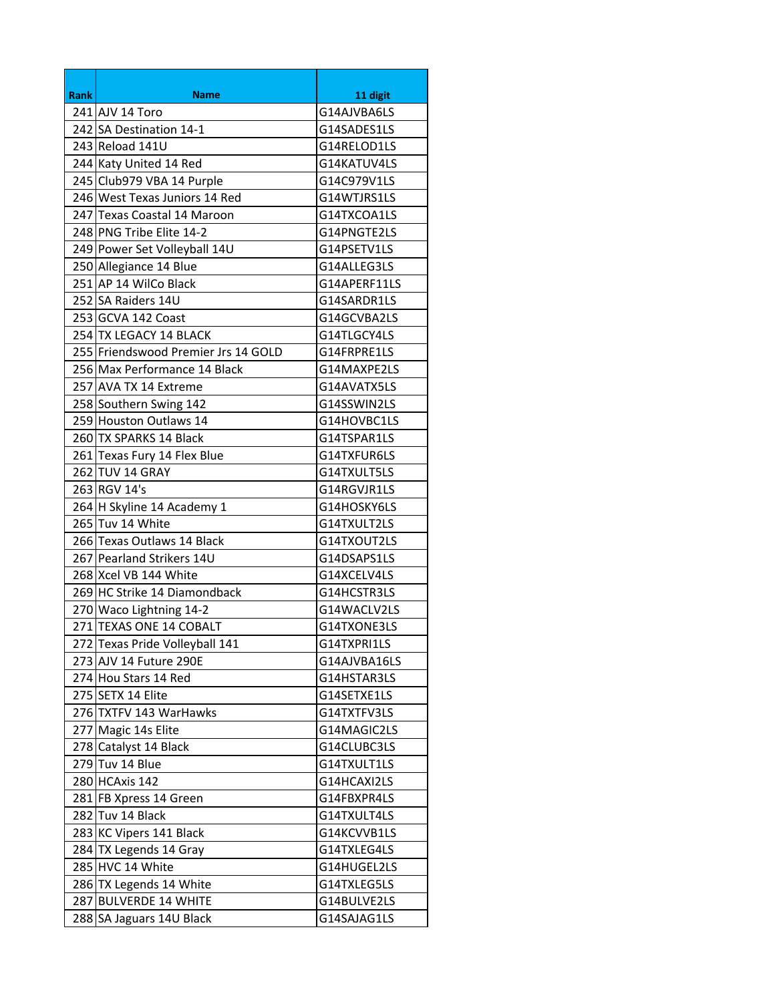| <b>Rank</b> | <b>Name</b>                         | 11 digit     |
|-------------|-------------------------------------|--------------|
|             | 241 AJV 14 Toro                     | G14AJVBA6LS  |
|             | 242 SA Destination 14-1             | G14SADES1LS  |
|             | 243 Reload 141U                     | G14RELOD1LS  |
|             | 244 Katy United 14 Red              | G14KATUV4LS  |
|             | 245 Club979 VBA 14 Purple           | G14C979V1LS  |
|             | 246 West Texas Juniors 14 Red       | G14WTJRS1LS  |
|             | 247 Texas Coastal 14 Maroon         | G14TXCOA1LS  |
|             | 248 PNG Tribe Elite 14-2            | G14PNGTE2LS  |
|             | 249 Power Set Volleyball 14U        | G14PSETV1LS  |
|             | 250 Allegiance 14 Blue              | G14ALLEG3LS  |
|             | 251 AP 14 WilCo Black               | G14APERF11LS |
|             | 252 SA Raiders 14U                  | G14SARDR1LS  |
|             | 253 GCVA 142 Coast                  | G14GCVBA2LS  |
|             | 254 TX LEGACY 14 BLACK              | G14TLGCY4LS  |
|             | 255 Friendswood Premier Jrs 14 GOLD | G14FRPRE1LS  |
|             | 256 Max Performance 14 Black        | G14MAXPE2LS  |
|             | 257 AVA TX 14 Extreme               | G14AVATX5LS  |
|             | 258 Southern Swing 142              | G14SSWIN2LS  |
|             | 259 Houston Outlaws 14              | G14HOVBC1LS  |
|             | 260 TX SPARKS 14 Black              | G14TSPAR1LS  |
|             | 261 Texas Fury 14 Flex Blue         | G14TXFUR6LS  |
|             | 262 TUV 14 GRAY                     | G14TXULT5LS  |
|             | 263 RGV 14's                        | G14RGVJR1LS  |
|             | 264 H Skyline 14 Academy 1          | G14HOSKY6LS  |
|             | 265 Tuv 14 White                    | G14TXULT2LS  |
|             | 266 Texas Outlaws 14 Black          | G14TXOUT2LS  |
|             | 267 Pearland Strikers 14U           | G14DSAPS1LS  |
|             | 268 Xcel VB 144 White               | G14XCELV4LS  |
|             | 269 HC Strike 14 Diamondback        | G14HCSTR3LS  |
|             | 270 Waco Lightning 14-2             | G14WACLV2LS  |
|             | 271 TEXAS ONE 14 COBALT             | G14TXONE3LS  |
|             | 272 Texas Pride Volleyball 141      | G14TXPRI1LS  |
|             | 273 AJV 14 Future 290E              | G14AJVBA16LS |
|             | 274 Hou Stars 14 Red                | G14HSTAR3LS  |
|             | 275 SETX 14 Elite                   | G14SETXE1LS  |
|             | 276 TXTFV 143 WarHawks              | G14TXTFV3LS  |
|             | 277 Magic 14s Elite                 | G14MAGIC2LS  |
|             | 278 Catalyst 14 Black               | G14CLUBC3LS  |
|             | 279 Tuv 14 Blue                     | G14TXULT1LS  |
|             | 280 HCAxis 142                      | G14HCAXI2LS  |
|             | 281 FB Xpress 14 Green              | G14FBXPR4LS  |
|             | 282 Tuv 14 Black                    | G14TXULT4LS  |
|             | 283 KC Vipers 141 Black             | G14KCVVB1LS  |
|             | 284 TX Legends 14 Gray              | G14TXLEG4LS  |
|             | 285 HVC 14 White                    | G14HUGEL2LS  |
|             | 286 TX Legends 14 White             | G14TXLEG5LS  |
|             | 287 BULVERDE 14 WHITE               | G14BULVE2LS  |
|             | 288 SA Jaguars 14U Black            | G14SAJAG1LS  |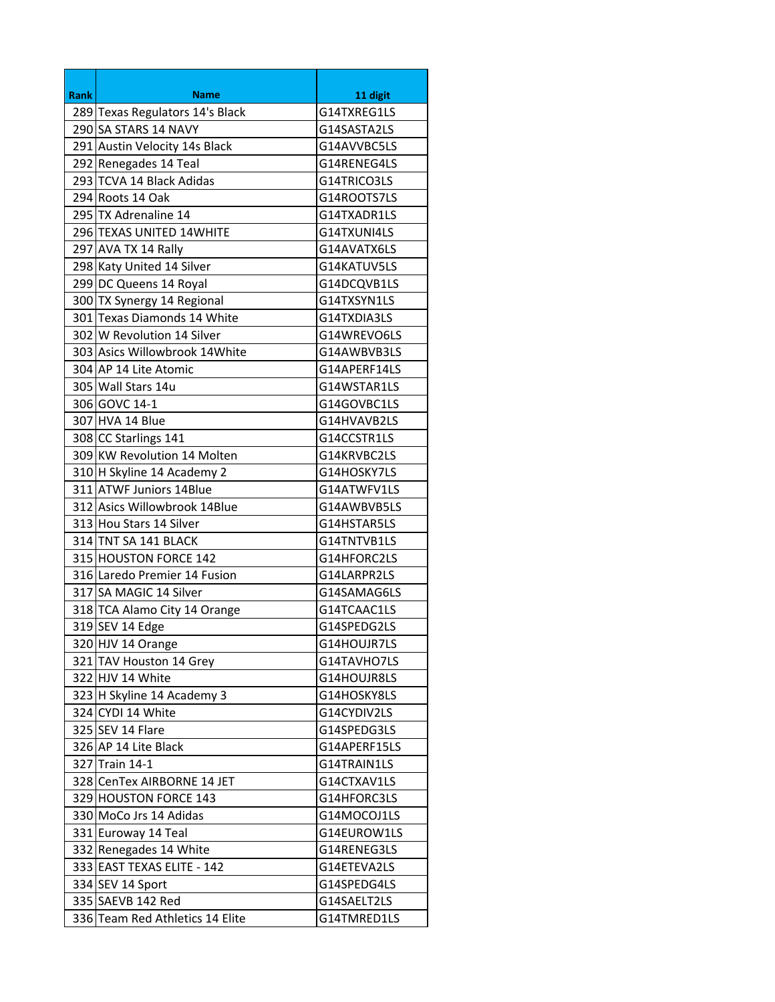| <b>Rank</b> | Name                            | 11 digit     |
|-------------|---------------------------------|--------------|
|             | 289 Texas Regulators 14's Black | G14TXREG1LS  |
|             | 290 SA STARS 14 NAVY            | G14SASTA2LS  |
|             | 291 Austin Velocity 14s Black   | G14AVVBC5LS  |
|             | 292 Renegades 14 Teal           | G14RENEG4LS  |
|             | 293 TCVA 14 Black Adidas        | G14TRICO3LS  |
|             | 294 Roots 14 Oak                | G14ROOTS7LS  |
|             | 295 TX Adrenaline 14            | G14TXADR1LS  |
|             | 296 TEXAS UNITED 14WHITE        | G14TXUNI4LS  |
|             | 297 AVA TX 14 Rally             | G14AVATX6LS  |
|             | 298 Katy United 14 Silver       | G14KATUV5LS  |
|             | 299 DC Queens 14 Royal          | G14DCQVB1LS  |
|             | 300 TX Synergy 14 Regional      | G14TXSYN1LS  |
|             | 301 Texas Diamonds 14 White     | G14TXDIA3LS  |
|             | 302 W Revolution 14 Silver      | G14WREVO6LS  |
|             | 303 Asics Willowbrook 14 White  | G14AWBVB3LS  |
|             | 304 AP 14 Lite Atomic           | G14APERF14LS |
|             | 305 Wall Stars 14u              | G14WSTAR1LS  |
|             | 306 GOVC 14-1                   | G14GOVBC1LS  |
|             | 307 HVA 14 Blue                 | G14HVAVB2LS  |
|             | 308 CC Starlings 141            | G14CCSTR1LS  |
|             | 309 KW Revolution 14 Molten     | G14KRVBC2LS  |
|             | 310 H Skyline 14 Academy 2      | G14HOSKY7LS  |
|             | 311 ATWF Juniors 14Blue         | G14ATWFV1LS  |
|             | 312 Asics Willowbrook 14Blue    | G14AWBVB5LS  |
|             | 313 Hou Stars 14 Silver         | G14HSTAR5LS  |
|             | 314 TNT SA 141 BLACK            | G14TNTVB1LS  |
|             | 315 HOUSTON FORCE 142           | G14HFORC2LS  |
|             | 316 Laredo Premier 14 Fusion    | G14LARPR2LS  |
|             | 317 SA MAGIC 14 Silver          | G14SAMAG6LS  |
|             | 318 TCA Alamo City 14 Orange    | G14TCAAC1LS  |
|             | 319 SEV 14 Edge                 | G14SPEDG2LS  |
|             | 320 HJV 14 Orange               | G14HOUJR7LS  |
|             | 321 TAV Houston 14 Grey         | G14TAVHO7LS  |
|             | 322 HJV 14 White                | G14HOUJR8LS  |
|             | 323 H Skyline 14 Academy 3      | G14HOSKY8LS  |
|             | 324 CYDI 14 White               | G14CYDIV2LS  |
|             | 325 SEV 14 Flare                | G14SPEDG3LS  |
|             | 326 AP 14 Lite Black            | G14APERF15LS |
|             | 327 Train 14-1                  | G14TRAIN1LS  |
|             | 328 CenTex AIRBORNE 14 JET      | G14CTXAV1LS  |
|             | 329 HOUSTON FORCE 143           | G14HFORC3LS  |
|             | 330 MoCo Jrs 14 Adidas          | G14MOCOJ1LS  |
|             | 331 Euroway 14 Teal             | G14EUROW1LS  |
|             | 332 Renegades 14 White          | G14RENEG3LS  |
|             | 333 EAST TEXAS ELITE - 142      | G14ETEVA2LS  |
|             | 334 SEV 14 Sport                | G14SPEDG4LS  |
|             | 335 SAEVB 142 Red               | G14SAELT2LS  |
|             | 336 Team Red Athletics 14 Elite | G14TMRED1LS  |